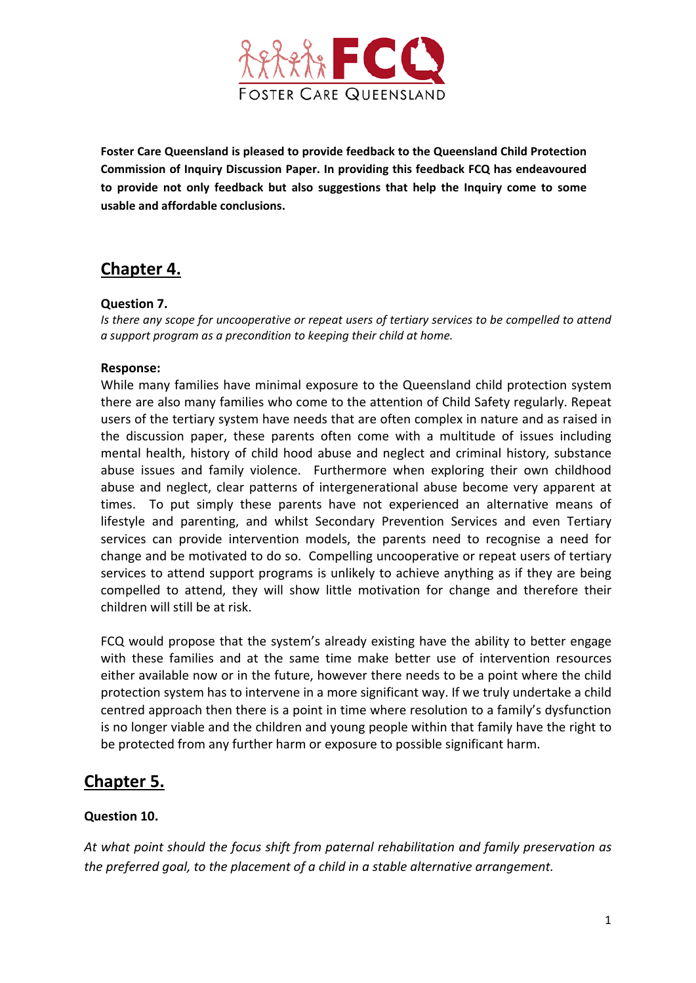

**Foster Care Queensland is pleased to provide feedback to the Queensland Child Protection Commission of Inquiry Discussion Paper. In providing this feedback FCQ has endeavoured to provide not only feedback but also suggestions that help the Inquiry come to some usable and affordable conclusions.**

# **Chapter 4.**

### **Question 7.**

*Is there any scope for uncooperative or repeat users of tertiary services to be compelled to attend a support program as a precondition to keeping their child at home.*

### **Response:**

While many families have minimal exposure to the Queensland child protection system there are also many families who come to the attention of Child Safety regularly. Repeat users of the tertiary system have needs that are often complex in nature and as raised in the discussion paper, these parents often come with a multitude of issues including mental health, history of child hood abuse and neglect and criminal history, substance abuse issues and family violence. Furthermore when exploring their own childhood abuse and neglect, clear patterns of intergenerational abuse become very apparent at times. To put simply these parents have not experienced an alternative means of lifestyle and parenting, and whilst Secondary Prevention Services and even Tertiary services can provide intervention models, the parents need to recognise a need for change and be motivated to do so. Compelling uncooperative or repeat users of tertiary services to attend support programs is unlikely to achieve anything as if they are being compelled to attend, they will show little motivation for change and therefore their children will still be at risk.

FCQ would propose that the system's already existing have the ability to better engage with these families and at the same time make better use of intervention resources either available now or in the future, however there needs to be a point where the child protection system has to intervene in a more significant way. If we truly undertake a child centred approach then there is a point in time where resolution to a family's dysfunction is no longer viable and the children and young people within that family have the right to be protected from any further harm or exposure to possible significant harm.

# **Chapter 5.**

# **Question 10.**

*At what point should the focus shift from paternal rehabilitation and family preservation as the preferred goal, to the placement of a child in a stable alternative arrangement.*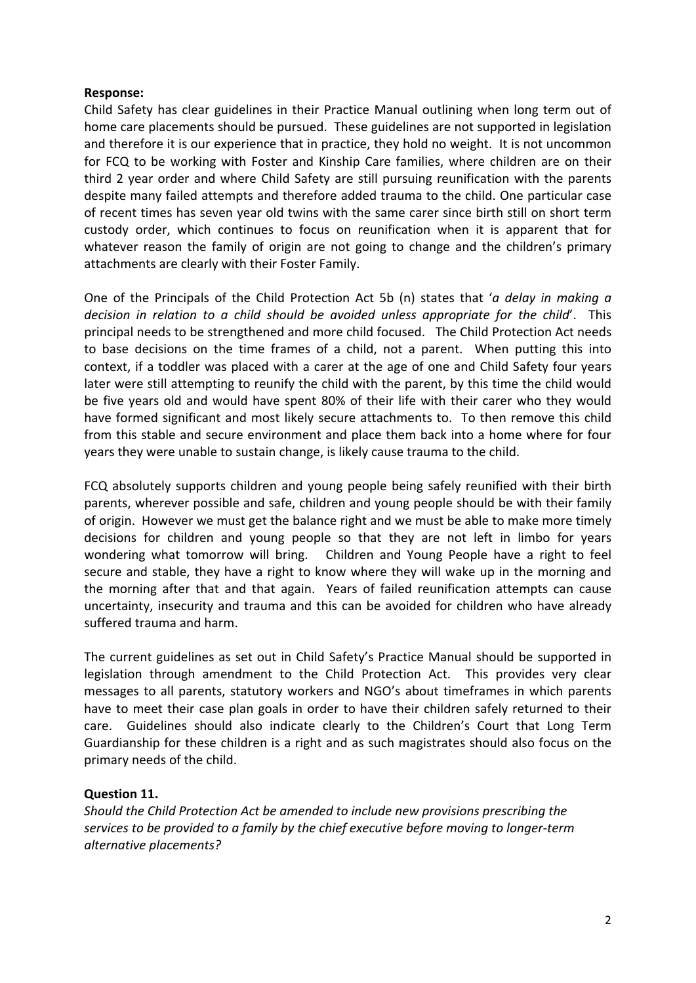#### **Response:**

Child Safety has clear guidelines in their Practice Manual outlining when long term out of home care placements should be pursued. These guidelines are not supported in legislation and therefore it is our experience that in practice, they hold no weight. It is not uncommon for FCQ to be working with Foster and Kinship Care families, where children are on their third 2 year order and where Child Safety are still pursuing reunification with the parents despite many failed attempts and therefore added trauma to the child. One particular case of recent times has seven year old twins with the same carer since birth still on short term custody order, which continues to focus on reunification when it is apparent that for whatever reason the family of origin are not going to change and the children's primary attachments are clearly with their Foster Family.

One of the Principals of the Child Protection Act 5b (n) states that '*a delay in making a decision in relation to a child should be avoided unless appropriate for the child*'. This principal needs to be strengthened and more child focused. The Child Protection Act needs to base decisions on the time frames of a child, not a parent. When putting this into context, if a toddler was placed with a carer at the age of one and Child Safety four years later were still attempting to reunify the child with the parent, by this time the child would be five years old and would have spent 80% of their life with their carer who they would have formed significant and most likely secure attachments to. To then remove this child from this stable and secure environment and place them back into a home where for four years they were unable to sustain change, is likely cause trauma to the child.

FCQ absolutely supports children and young people being safely reunified with their birth parents, wherever possible and safe, children and young people should be with their family of origin. However we must get the balance right and we must be able to make more timely decisions for children and young people so that they are not left in limbo for years wondering what tomorrow will bring. Children and Young People have a right to feel secure and stable, they have a right to know where they will wake up in the morning and the morning after that and that again. Years of failed reunification attempts can cause uncertainty, insecurity and trauma and this can be avoided for children who have already suffered trauma and harm.

The current guidelines as set out in Child Safety's Practice Manual should be supported in legislation through amendment to the Child Protection Act. This provides very clear messages to all parents, statutory workers and NGO's about timeframes in which parents have to meet their case plan goals in order to have their children safely returned to their care. Guidelines should also indicate clearly to the Children's Court that Long Term Guardianship for these children is a right and as such magistrates should also focus on the primary needs of the child.

# **Question 11.**

*Should the Child Protection Act be amended to include new provisions prescribing the services to be provided to a family by the chief executive before moving to longer‐term alternative placements?*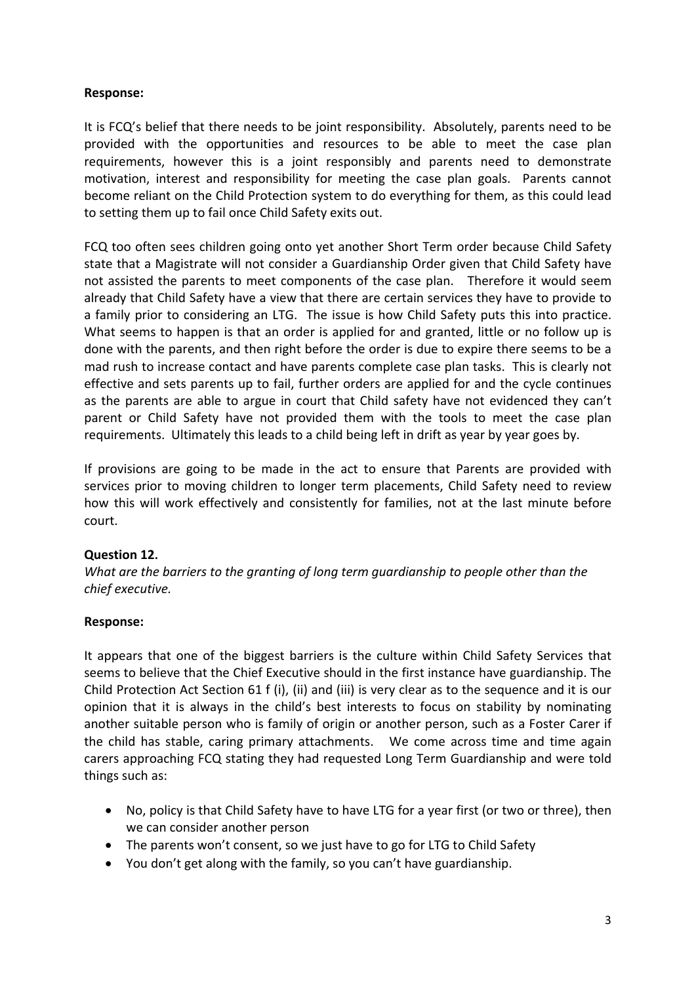# **Response:**

It is FCQ's belief that there needs to be joint responsibility. Absolutely, parents need to be provided with the opportunities and resources to be able to meet the case plan requirements, however this is a joint responsibly and parents need to demonstrate motivation, interest and responsibility for meeting the case plan goals. Parents cannot become reliant on the Child Protection system to do everything for them, as this could lead to setting them up to fail once Child Safety exits out.

FCQ too often sees children going onto yet another Short Term order because Child Safety state that a Magistrate will not consider a Guardianship Order given that Child Safety have not assisted the parents to meet components of the case plan. Therefore it would seem already that Child Safety have a view that there are certain services they have to provide to a family prior to considering an LTG. The issue is how Child Safety puts this into practice. What seems to happen is that an order is applied for and granted, little or no follow up is done with the parents, and then right before the order is due to expire there seems to be a mad rush to increase contact and have parents complete case plan tasks. This is clearly not effective and sets parents up to fail, further orders are applied for and the cycle continues as the parents are able to argue in court that Child safety have not evidenced they can't parent or Child Safety have not provided them with the tools to meet the case plan requirements. Ultimately this leads to a child being left in drift as year by year goes by.

If provisions are going to be made in the act to ensure that Parents are provided with services prior to moving children to longer term placements, Child Safety need to review how this will work effectively and consistently for families, not at the last minute before court.

# **Question 12.**

*What are the barriers to the granting of long term guardianship to people other than the chief executive.*

#### **Response:**

It appears that one of the biggest barriers is the culture within Child Safety Services that seems to believe that the Chief Executive should in the first instance have guardianship. The Child Protection Act Section 61 f (i), (ii) and (iii) is very clear as to the sequence and it is our opinion that it is always in the child's best interests to focus on stability by nominating another suitable person who is family of origin or another person, such as a Foster Carer if the child has stable, caring primary attachments. We come across time and time again carers approaching FCQ stating they had requested Long Term Guardianship and were told things such as:

- No, policy is that Child Safety have to have LTG for a year first (or two or three), then we can consider another person
- The parents won't consent, so we just have to go for LTG to Child Safety
- You don't get along with the family, so you can't have guardianship.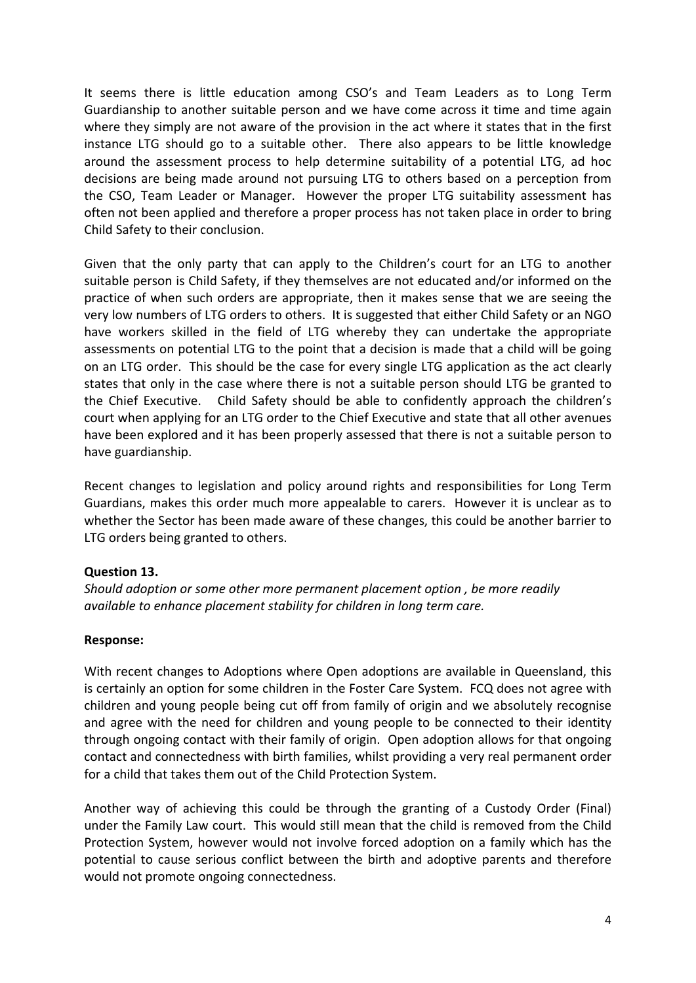It seems there is little education among CSO's and Team Leaders as to Long Term Guardianship to another suitable person and we have come across it time and time again where they simply are not aware of the provision in the act where it states that in the first instance LTG should go to a suitable other. There also appears to be little knowledge around the assessment process to help determine suitability of a potential LTG, ad hoc decisions are being made around not pursuing LTG to others based on a perception from the CSO, Team Leader or Manager. However the proper LTG suitability assessment has often not been applied and therefore a proper process has not taken place in order to bring Child Safety to their conclusion.

Given that the only party that can apply to the Children's court for an LTG to another suitable person is Child Safety, if they themselves are not educated and/or informed on the practice of when such orders are appropriate, then it makes sense that we are seeing the very low numbers of LTG orders to others. It is suggested that either Child Safety or an NGO have workers skilled in the field of LTG whereby they can undertake the appropriate assessments on potential LTG to the point that a decision is made that a child will be going on an LTG order. This should be the case for every single LTG application as the act clearly states that only in the case where there is not a suitable person should LTG be granted to the Chief Executive. Child Safety should be able to confidently approach the children's court when applying for an LTG order to the Chief Executive and state that all other avenues have been explored and it has been properly assessed that there is not a suitable person to have guardianship.

Recent changes to legislation and policy around rights and responsibilities for Long Term Guardians, makes this order much more appealable to carers. However it is unclear as to whether the Sector has been made aware of these changes, this could be another barrier to LTG orders being granted to others.

# **Question 13.**

*Should adoption or some other more permanent placement option , be more readily available to enhance placement stability for children in long term care.*

#### **Response:**

With recent changes to Adoptions where Open adoptions are available in Queensland, this is certainly an option for some children in the Foster Care System. FCQ does not agree with children and young people being cut off from family of origin and we absolutely recognise and agree with the need for children and young people to be connected to their identity through ongoing contact with their family of origin. Open adoption allows for that ongoing contact and connectedness with birth families, whilst providing a very real permanent order for a child that takes them out of the Child Protection System.

Another way of achieving this could be through the granting of a Custody Order (Final) under the Family Law court. This would still mean that the child is removed from the Child Protection System, however would not involve forced adoption on a family which has the potential to cause serious conflict between the birth and adoptive parents and therefore would not promote ongoing connectedness.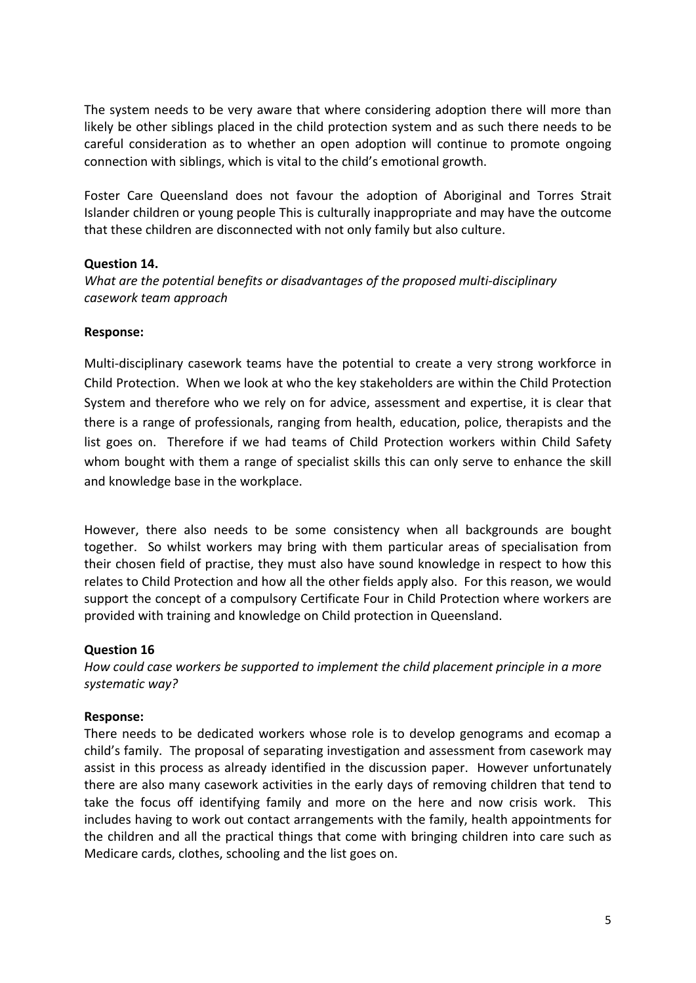The system needs to be very aware that where considering adoption there will more than likely be other siblings placed in the child protection system and as such there needs to be careful consideration as to whether an open adoption will continue to promote ongoing connection with siblings, which is vital to the child's emotional growth.

Foster Care Queensland does not favour the adoption of Aboriginal and Torres Strait Islander children or young people This is culturally inappropriate and may have the outcome that these children are disconnected with not only family but also culture.

# **Question 14.**

*What are the potential benefits or disadvantages of the proposed multi‐disciplinary casework team approach*

# **Response:**

Multi-disciplinary casework teams have the potential to create a very strong workforce in Child Protection. When we look at who the key stakeholders are within the Child Protection System and therefore who we rely on for advice, assessment and expertise, it is clear that there is a range of professionals, ranging from health, education, police, therapists and the list goes on. Therefore if we had teams of Child Protection workers within Child Safety whom bought with them a range of specialist skills this can only serve to enhance the skill and knowledge base in the workplace.

However, there also needs to be some consistency when all backgrounds are bought together. So whilst workers may bring with them particular areas of specialisation from their chosen field of practise, they must also have sound knowledge in respect to how this relates to Child Protection and how all the other fields apply also. For this reason, we would support the concept of a compulsory Certificate Four in Child Protection where workers are provided with training and knowledge on Child protection in Queensland.

# **Question 16**

*How could case workers be supported to implement the child placement principle in a more systematic way?*

# **Response:**

There needs to be dedicated workers whose role is to develop genograms and ecomap a child's family. The proposal of separating investigation and assessment from casework may assist in this process as already identified in the discussion paper. However unfortunately there are also many casework activities in the early days of removing children that tend to take the focus off identifying family and more on the here and now crisis work. This includes having to work out contact arrangements with the family, health appointments for the children and all the practical things that come with bringing children into care such as Medicare cards, clothes, schooling and the list goes on.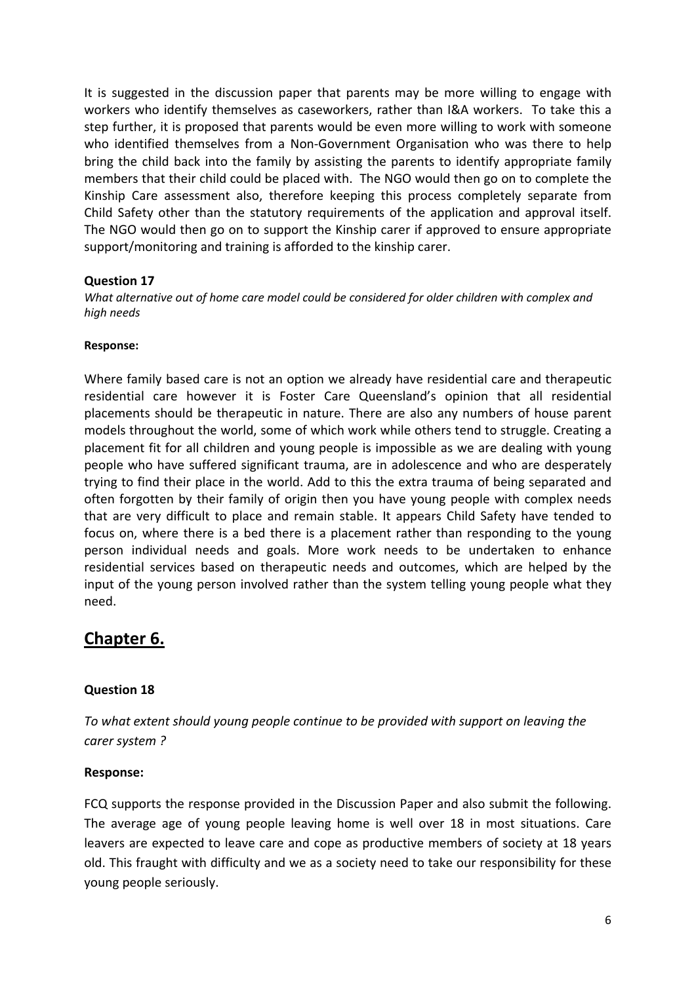It is suggested in the discussion paper that parents may be more willing to engage with workers who identify themselves as caseworkers, rather than I&A workers. To take this a step further, it is proposed that parents would be even more willing to work with someone who identified themselves from a Non-Government Organisation who was there to help bring the child back into the family by assisting the parents to identify appropriate family members that their child could be placed with. The NGO would then go on to complete the Kinship Care assessment also, therefore keeping this process completely separate from Child Safety other than the statutory requirements of the application and approval itself. The NGO would then go on to support the Kinship carer if approved to ensure appropriate support/monitoring and training is afforded to the kinship carer.

### **Question 17**

*What alternative out of home care model could be considered for older children with complex and high needs*

### **Response:**

Where family based care is not an option we already have residential care and therapeutic residential care however it is Foster Care Queensland's opinion that all residential placements should be therapeutic in nature. There are also any numbers of house parent models throughout the world, some of which work while others tend to struggle. Creating a placement fit for all children and young people is impossible as we are dealing with young people who have suffered significant trauma, are in adolescence and who are desperately trying to find their place in the world. Add to this the extra trauma of being separated and often forgotten by their family of origin then you have young people with complex needs that are very difficult to place and remain stable. It appears Child Safety have tended to focus on, where there is a bed there is a placement rather than responding to the young person individual needs and goals. More work needs to be undertaken to enhance residential services based on therapeutic needs and outcomes, which are helped by the input of the young person involved rather than the system telling young people what they need.

# **Chapter 6.**

# **Question 18**

*To what extent should young people continue to be provided with support on leaving the carer system ?*

# **Response:**

FCQ supports the response provided in the Discussion Paper and also submit the following. The average age of young people leaving home is well over 18 in most situations. Care leavers are expected to leave care and cope as productive members of society at 18 years old. This fraught with difficulty and we as a society need to take our responsibility for these young people seriously.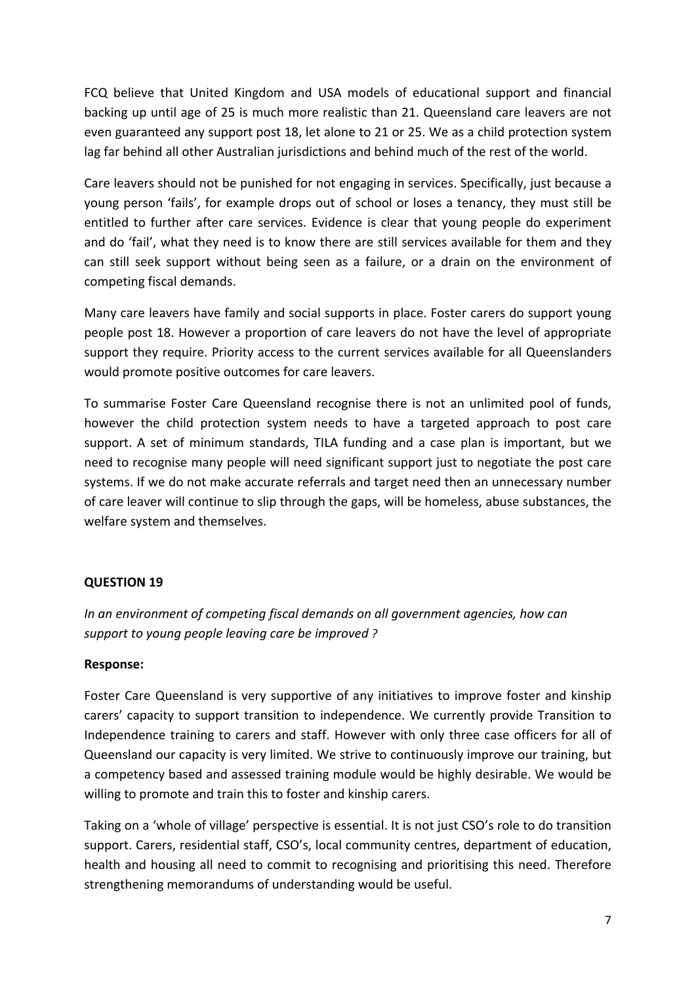FCQ believe that United Kingdom and USA models of educational support and financial backing up until age of 25 is much more realistic than 21. Queensland care leavers are not even guaranteed any support post 18, let alone to 21 or 25. We as a child protection system lag far behind all other Australian jurisdictions and behind much of the rest of the world.

Care leavers should not be punished for not engaging in services. Specifically, just because a young person 'fails', for example drops out of school or loses a tenancy, they must still be entitled to further after care services. Evidence is clear that young people do experiment and do 'fail', what they need is to know there are still services available for them and they can still seek support without being seen as a failure, or a drain on the environment of competing fiscal demands.

Many care leavers have family and social supports in place. Foster carers do support young people post 18. However a proportion of care leavers do not have the level of appropriate support they require. Priority access to the current services available for all Queenslanders would promote positive outcomes for care leavers.

To summarise Foster Care Queensland recognise there is not an unlimited pool of funds, however the child protection system needs to have a targeted approach to post care support. A set of minimum standards, TILA funding and a case plan is important, but we need to recognise many people will need significant support just to negotiate the post care systems. If we do not make accurate referrals and target need then an unnecessary number of care leaver will continue to slip through the gaps, will be homeless, abuse substances, the welfare system and themselves.

# **QUESTION 19**

*In an environment of competing fiscal demands on all government agencies, how can support to young people leaving care be improved ?*

# **Response:**

Foster Care Queensland is very supportive of any initiatives to improve foster and kinship carers' capacity to support transition to independence. We currently provide Transition to Independence training to carers and staff. However with only three case officers for all of Queensland our capacity is very limited. We strive to continuously improve our training, but a competency based and assessed training module would be highly desirable. We would be willing to promote and train this to foster and kinship carers.

Taking on a 'whole of village' perspective is essential. It is not just CSO's role to do transition support. Carers, residential staff, CSO's, local community centres, department of education, health and housing all need to commit to recognising and prioritising this need. Therefore strengthening memorandums of understanding would be useful.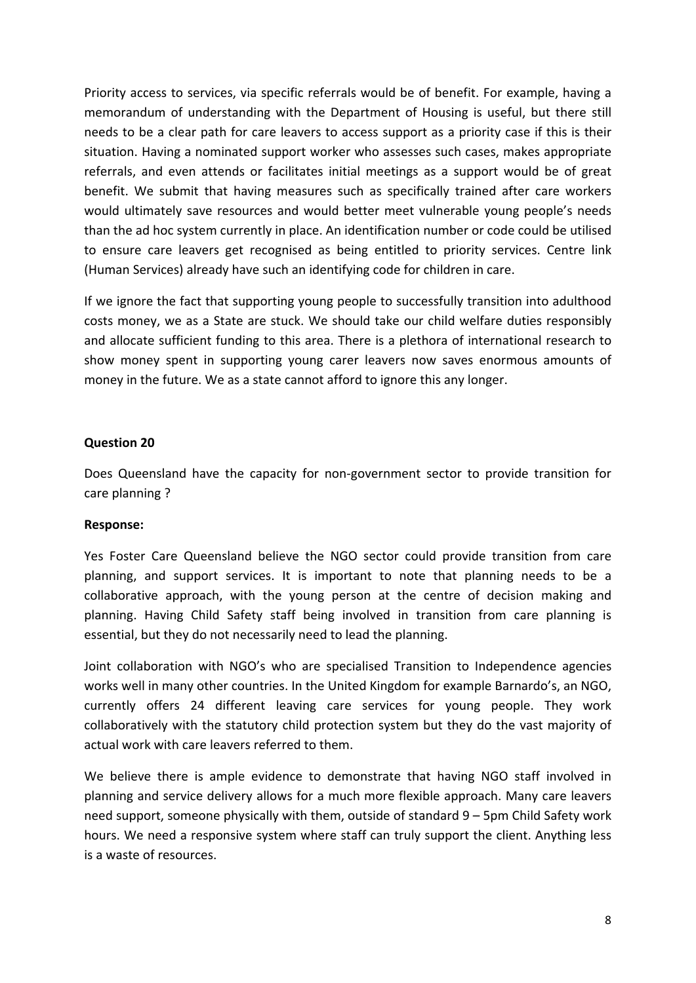Priority access to services, via specific referrals would be of benefit. For example, having a memorandum of understanding with the Department of Housing is useful, but there still needs to be a clear path for care leavers to access support as a priority case if this is their situation. Having a nominated support worker who assesses such cases, makes appropriate referrals, and even attends or facilitates initial meetings as a support would be of great benefit. We submit that having measures such as specifically trained after care workers would ultimately save resources and would better meet vulnerable young people's needs than the ad hoc system currently in place. An identification number or code could be utilised to ensure care leavers get recognised as being entitled to priority services. Centre link (Human Services) already have such an identifying code for children in care.

If we ignore the fact that supporting young people to successfully transition into adulthood costs money, we as a State are stuck. We should take our child welfare duties responsibly and allocate sufficient funding to this area. There is a plethora of international research to show money spent in supporting young carer leavers now saves enormous amounts of money in the future. We as a state cannot afford to ignore this any longer.

### **Question 20**

Does Queensland have the capacity for non‐government sector to provide transition for care planning ?

#### **Response:**

Yes Foster Care Queensland believe the NGO sector could provide transition from care planning, and support services. It is important to note that planning needs to be a collaborative approach, with the young person at the centre of decision making and planning. Having Child Safety staff being involved in transition from care planning is essential, but they do not necessarily need to lead the planning.

Joint collaboration with NGO's who are specialised Transition to Independence agencies works well in many other countries. In the United Kingdom for example Barnardo's, an NGO, currently offers 24 different leaving care services for young people. They work collaboratively with the statutory child protection system but they do the vast majority of actual work with care leavers referred to them.

We believe there is ample evidence to demonstrate that having NGO staff involved in planning and service delivery allows for a much more flexible approach. Many care leavers need support, someone physically with them, outside of standard 9 – 5pm Child Safety work hours. We need a responsive system where staff can truly support the client. Anything less is a waste of resources.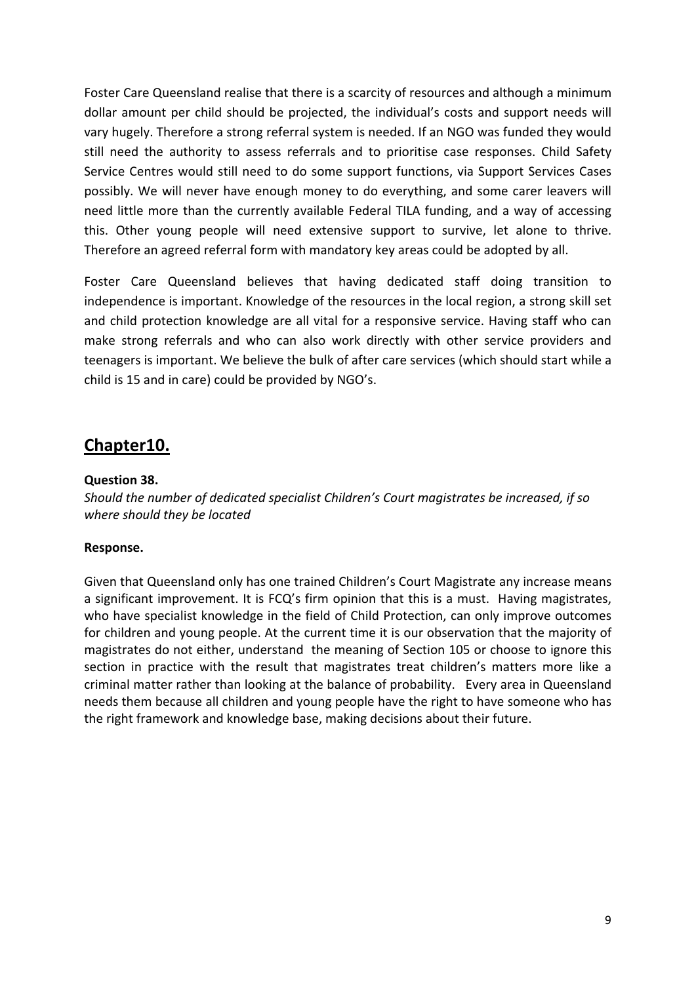Foster Care Queensland realise that there is a scarcity of resources and although a minimum dollar amount per child should be projected, the individual's costs and support needs will vary hugely. Therefore a strong referral system is needed. If an NGO was funded they would still need the authority to assess referrals and to prioritise case responses. Child Safety Service Centres would still need to do some support functions, via Support Services Cases possibly. We will never have enough money to do everything, and some carer leavers will need little more than the currently available Federal TILA funding, and a way of accessing this. Other young people will need extensive support to survive, let alone to thrive. Therefore an agreed referral form with mandatory key areas could be adopted by all.

Foster Care Queensland believes that having dedicated staff doing transition to independence is important. Knowledge of the resources in the local region, a strong skill set and child protection knowledge are all vital for a responsive service. Having staff who can make strong referrals and who can also work directly with other service providers and teenagers is important. We believe the bulk of after care services (which should start while a child is 15 and in care) could be provided by NGO's.

# **Chapter10.**

# **Question 38.**

*Should the number of dedicated specialist Children's Court magistrates be increased, if so where should they be located*

# **Response.**

Given that Queensland only has one trained Children's Court Magistrate any increase means a significant improvement. It is FCQ's firm opinion that this is a must. Having magistrates, who have specialist knowledge in the field of Child Protection, can only improve outcomes for children and young people. At the current time it is our observation that the majority of magistrates do not either, understand the meaning of Section 105 or choose to ignore this section in practice with the result that magistrates treat children's matters more like a criminal matter rather than looking at the balance of probability. Every area in Queensland needs them because all children and young people have the right to have someone who has the right framework and knowledge base, making decisions about their future.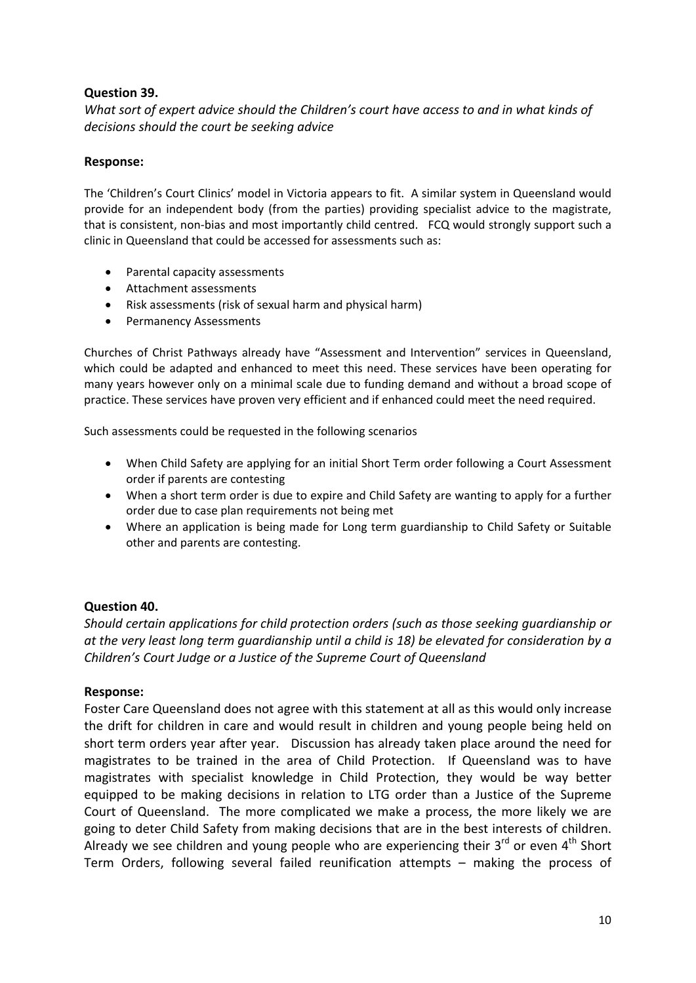### **Question 39.**

*What sort of expert advice should the Children's court have access to and in what kinds of decisions should the court be seeking advice*

#### **Response:**

The 'Children's Court Clinics' model in Victoria appears to fit. A similar system in Queensland would provide for an independent body (from the parties) providing specialist advice to the magistrate, that is consistent, non‐bias and most importantly child centred. FCQ would strongly support such a clinic in Queensland that could be accessed for assessments such as:

- Parental capacity assessments
- Attachment assessments
- Risk assessments (risk of sexual harm and physical harm)
- Permanency Assessments

Churches of Christ Pathways already have "Assessment and Intervention" services in Queensland, which could be adapted and enhanced to meet this need. These services have been operating for many years however only on a minimal scale due to funding demand and without a broad scope of practice. These services have proven very efficient and if enhanced could meet the need required.

Such assessments could be requested in the following scenarios

- When Child Safety are applying for an initial Short Term order following a Court Assessment order if parents are contesting
- When a short term order is due to expire and Child Safety are wanting to apply for a further order due to case plan requirements not being met
- Where an application is being made for Long term guardianship to Child Safety or Suitable other and parents are contesting.

#### **Question 40.**

*Should certain applications for child protection orders (such as those seeking guardianship or at the very least long term guardianship until a child is 18) be elevated for consideration by a Children's Court Judge or a Justice of the Supreme Court of Queensland*

#### **Response:**

Foster Care Queensland does not agree with this statement at all as this would only increase the drift for children in care and would result in children and young people being held on short term orders year after year. Discussion has already taken place around the need for magistrates to be trained in the area of Child Protection. If Queensland was to have magistrates with specialist knowledge in Child Protection, they would be way better equipped to be making decisions in relation to LTG order than a Justice of the Supreme Court of Queensland. The more complicated we make a process, the more likely we are going to deter Child Safety from making decisions that are in the best interests of children. Already we see children and young people who are experiencing their  $3^{rd}$  or even  $4^{th}$  Short Term Orders, following several failed reunification attempts – making the process of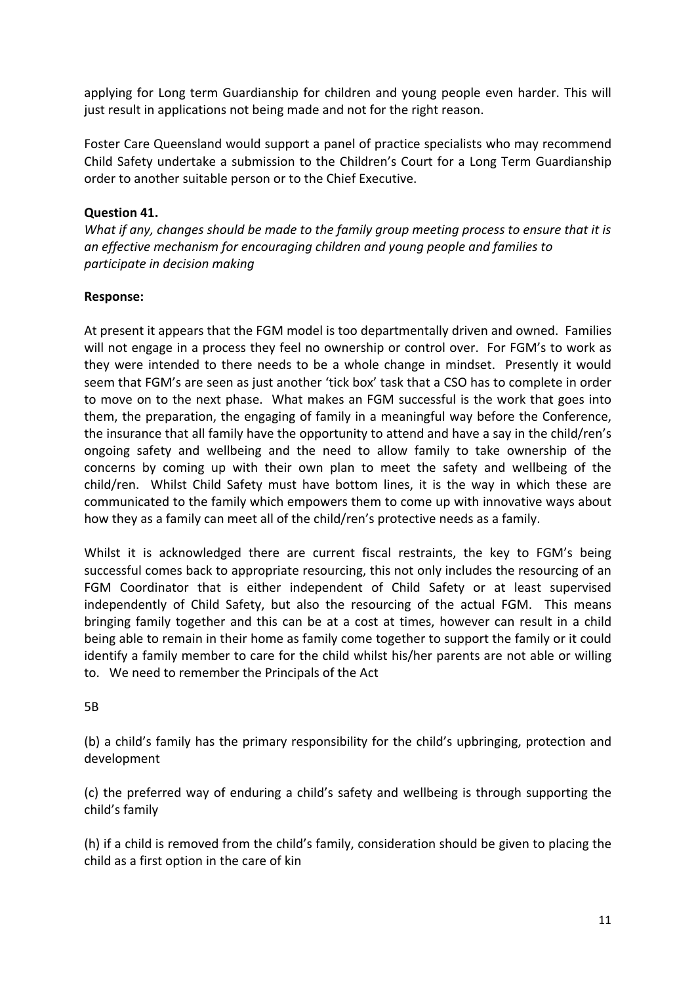applying for Long term Guardianship for children and young people even harder. This will just result in applications not being made and not for the right reason.

Foster Care Queensland would support a panel of practice specialists who may recommend Child Safety undertake a submission to the Children's Court for a Long Term Guardianship order to another suitable person or to the Chief Executive.

# **Question 41.**

*What if any, changes should be made to the family group meeting process to ensure that it is an effective mechanism for encouraging children and young people and families to participate in decision making* 

### **Response:**

At present it appears that the FGM model is too departmentally driven and owned. Families will not engage in a process they feel no ownership or control over. For FGM's to work as they were intended to there needs to be a whole change in mindset. Presently it would seem that FGM's are seen as just another 'tick box' task that a CSO has to complete in order to move on to the next phase. What makes an FGM successful is the work that goes into them, the preparation, the engaging of family in a meaningful way before the Conference, the insurance that all family have the opportunity to attend and have a say in the child/ren's ongoing safety and wellbeing and the need to allow family to take ownership of the concerns by coming up with their own plan to meet the safety and wellbeing of the child/ren. Whilst Child Safety must have bottom lines, it is the way in which these are communicated to the family which empowers them to come up with innovative ways about how they as a family can meet all of the child/ren's protective needs as a family.

Whilst it is acknowledged there are current fiscal restraints, the key to FGM's being successful comes back to appropriate resourcing, this not only includes the resourcing of an FGM Coordinator that is either independent of Child Safety or at least supervised independently of Child Safety, but also the resourcing of the actual FGM. This means bringing family together and this can be at a cost at times, however can result in a child being able to remain in their home as family come together to support the family or it could identify a family member to care for the child whilst his/her parents are not able or willing to. We need to remember the Principals of the Act

#### 5B

(b) a child's family has the primary responsibility for the child's upbringing, protection and development

(c) the preferred way of enduring a child's safety and wellbeing is through supporting the child's family

(h) if a child is removed from the child's family, consideration should be given to placing the child as a first option in the care of kin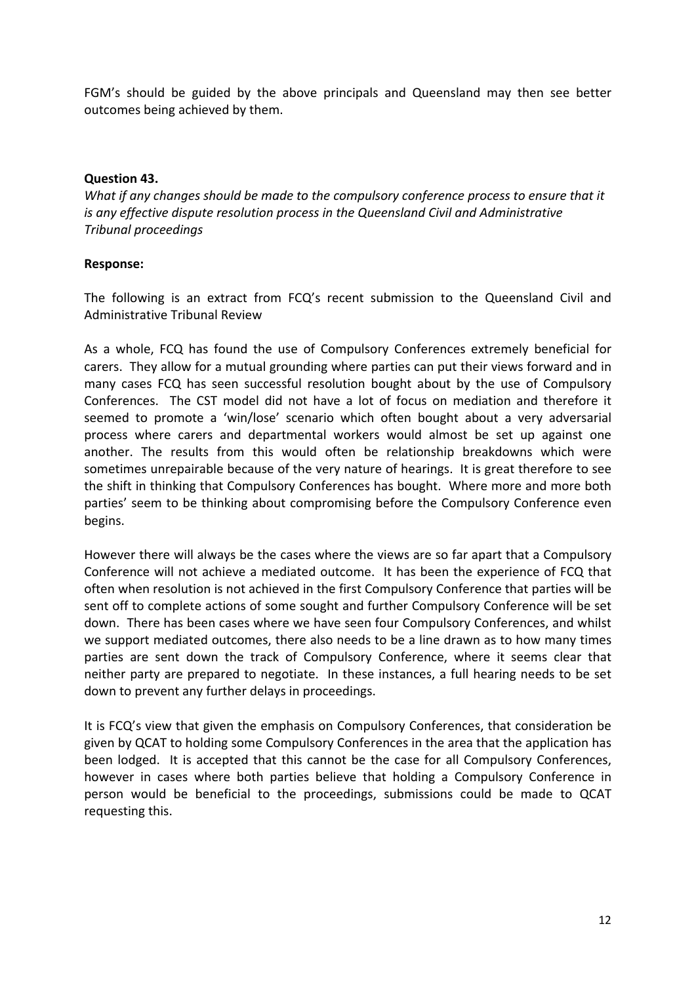FGM's should be guided by the above principals and Queensland may then see better outcomes being achieved by them.

#### **Question 43.**

*What if any changes should be made to the compulsory conference process to ensure that it is any effective dispute resolution process in the Queensland Civil and Administrative Tribunal proceedings*

### **Response:**

The following is an extract from FCQ's recent submission to the Queensland Civil and Administrative Tribunal Review

As a whole, FCQ has found the use of Compulsory Conferences extremely beneficial for carers. They allow for a mutual grounding where parties can put their views forward and in many cases FCQ has seen successful resolution bought about by the use of Compulsory Conferences. The CST model did not have a lot of focus on mediation and therefore it seemed to promote a 'win/lose' scenario which often bought about a very adversarial process where carers and departmental workers would almost be set up against one another. The results from this would often be relationship breakdowns which were sometimes unrepairable because of the very nature of hearings. It is great therefore to see the shift in thinking that Compulsory Conferences has bought. Where more and more both parties' seem to be thinking about compromising before the Compulsory Conference even begins.

However there will always be the cases where the views are so far apart that a Compulsory Conference will not achieve a mediated outcome. It has been the experience of FCQ that often when resolution is not achieved in the first Compulsory Conference that parties will be sent off to complete actions of some sought and further Compulsory Conference will be set down. There has been cases where we have seen four Compulsory Conferences, and whilst we support mediated outcomes, there also needs to be a line drawn as to how many times parties are sent down the track of Compulsory Conference, where it seems clear that neither party are prepared to negotiate. In these instances, a full hearing needs to be set down to prevent any further delays in proceedings.

It is FCQ's view that given the emphasis on Compulsory Conferences, that consideration be given by QCAT to holding some Compulsory Conferences in the area that the application has been lodged. It is accepted that this cannot be the case for all Compulsory Conferences, however in cases where both parties believe that holding a Compulsory Conference in person would be beneficial to the proceedings, submissions could be made to QCAT requesting this.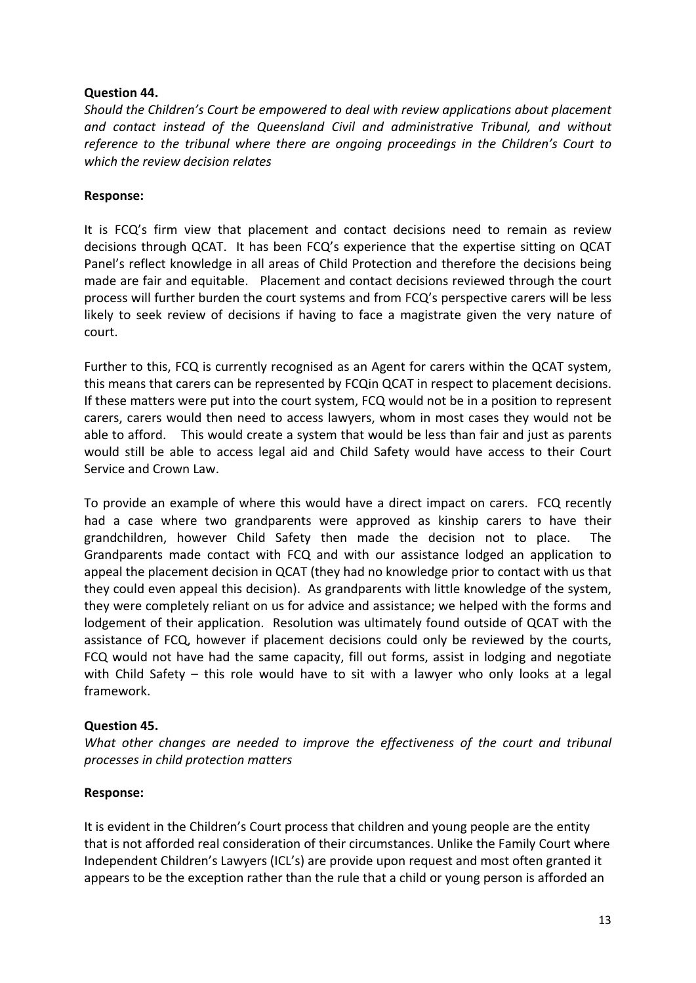### **Question 44.**

*Should the Children's Court be empowered to deal with review applications about placement and contact instead of the Queensland Civil and administrative Tribunal, and without reference to the tribunal where there are ongoing proceedings in the Children's Court to which the review decision relates*

### **Response:**

It is FCQ's firm view that placement and contact decisions need to remain as review decisions through QCAT. It has been FCQ's experience that the expertise sitting on QCAT Panel's reflect knowledge in all areas of Child Protection and therefore the decisions being made are fair and equitable. Placement and contact decisions reviewed through the court process will further burden the court systems and from FCQ's perspective carers will be less likely to seek review of decisions if having to face a magistrate given the very nature of court.

Further to this, FCQ is currently recognised as an Agent for carers within the QCAT system, this means that carers can be represented by FCQin QCAT in respect to placement decisions. If these matters were put into the court system, FCQ would not be in a position to represent carers, carers would then need to access lawyers, whom in most cases they would not be able to afford. This would create a system that would be less than fair and just as parents would still be able to access legal aid and Child Safety would have access to their Court Service and Crown Law.

To provide an example of where this would have a direct impact on carers. FCQ recently had a case where two grandparents were approved as kinship carers to have their grandchildren, however Child Safety then made the decision not to place. The Grandparents made contact with FCQ and with our assistance lodged an application to appeal the placement decision in QCAT (they had no knowledge prior to contact with us that they could even appeal this decision). As grandparents with little knowledge of the system, they were completely reliant on us for advice and assistance; we helped with the forms and lodgement of their application. Resolution was ultimately found outside of QCAT with the assistance of FCQ, however if placement decisions could only be reviewed by the courts, FCQ would not have had the same capacity, fill out forms, assist in lodging and negotiate with Child Safety – this role would have to sit with a lawyer who only looks at a legal framework.

# **Question 45.**

*What other changes are needed to improve the effectiveness of the court and tribunal processes in child protection matters*

#### **Response:**

It is evident in the Children's Court process that children and young people are the entity that is not afforded real consideration of their circumstances. Unlike the Family Court where Independent Children's Lawyers (ICL's) are provide upon request and most often granted it appears to be the exception rather than the rule that a child or young person is afforded an